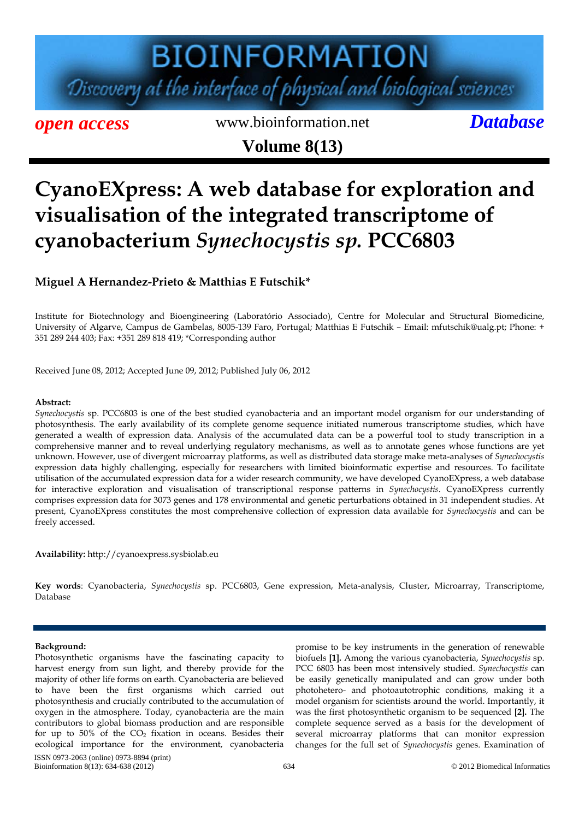# **BIOINFORMATION** Discovery at the interface of physical and biological sciences

*open access* www.bioinformation.net *Database* **Volume 8(13)**

### **CyanoEXpress: A web database for exploration and visualisation of the integrated transcriptome of cyanobacterium** *Synechocystis sp.* **PCC6803**

### **Miguel A Hernandez-Prieto & Matthias E Futschik\***

Institute for Biotechnology and Bioengineering (Laboratório Associado), Centre for Molecular and Structural Biomedicine, University of Algarve, Campus de Gambelas, 8005-139 Faro, Portugal; Matthias E Futschik – Email: mfutschik@ualg.pt; Phone: + 351 289 244 403; Fax: +351 289 818 419; \*Corresponding author

Received June 08, 2012; Accepted June 09, 2012; Published July 06, 2012

#### **Abstract:**

*Synechocystis* sp. PCC6803 is one of the best studied cyanobacteria and an important model organism for our understanding of photosynthesis. The early availability of its complete genome sequence initiated numerous transcriptome studies, which have generated a wealth of expression data. Analysis of the accumulated data can be a powerful tool to study transcription in a comprehensive manner and to reveal underlying regulatory mechanisms, as well as to annotate genes whose functions are yet unknown. However, use of divergent microarray platforms, as well as distributed data storage make meta-analyses of *Synechocystis* expression data highly challenging, especially for researchers with limited bioinformatic expertise and resources. To facilitate utilisation of the accumulated expression data for a wider research community, we have developed CyanoEXpress, a web database for interactive exploration and visualisation of transcriptional response patterns in *Synechocystis*. CyanoEXpress currently comprises expression data for 3073 genes and 178 environmental and genetic perturbations obtained in 31 independent studies. At present, CyanoEXpress constitutes the most comprehensive collection of expression data available for *Synechocystis* and can be freely accessed.

**Availability:** http://cyanoexpress.sysbiolab.eu

**Key words**: Cyanobacteria, *Synechocystis* sp. PCC6803, Gene expression, Meta-analysis, Cluster, Microarray, Transcriptome, Database

#### **Background:**

ISSN 0973-2063 (online) 0973-8894 (print) Bioinformation 8(13): 634-638 (2012) 634 634 © 2012 Biomedical Informatics Photosynthetic organisms have the fascinating capacity to harvest energy from sun light, and thereby provide for the majority of other life forms on earth. Cyanobacteria are believed to have been the first organisms which carried out photosynthesis and crucially contributed to the accumulation of oxygen in the atmosphere. Today, cyanobacteria are the main contributors to global biomass production and are responsible for up to  $50\%$  of the  $CO<sub>2</sub>$  fixation in oceans. Besides their ecological importance for the environment, cyanobacteria

promise to be key instruments in the generation of renewable biofuels **[1].** Among the various cyanobacteria, *Synechocystis* sp. PCC 6803 has been most intensively studied. *Synechocystis* can be easily genetically manipulated and can grow under both photohetero- and photoautotrophic conditions, making it a model organism for scientists around the world. Importantly, it was the first photosynthetic organism to be sequenced **[2].** The complete sequence served as a basis for the development of several microarray platforms that can monitor expression changes for the full set of *Synechocystis* genes. Examination of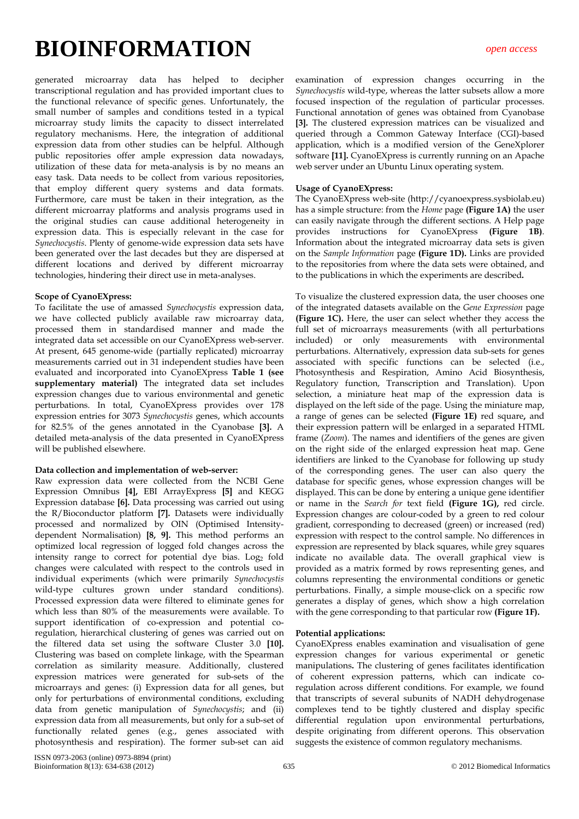generated microarray data has helped to decipher transcriptional regulation and has provided important clues to the functional relevance of specific genes. Unfortunately, the small number of samples and conditions tested in a typical microarray study limits the capacity to dissect interrelated regulatory mechanisms. Here, the integration of additional expression data from other studies can be helpful. Although public repositories offer ample expression data nowadays, utilization of these data for meta-analysis is by no means an easy task. Data needs to be collect from various repositories, that employ different query systems and data formats. Furthermore, care must be taken in their integration, as the different microarray platforms and analysis programs used in the original studies can cause additional heterogeneity in expression data. This is especially relevant in the case for *Synechocystis*. Plenty of genome-wide expression data sets have been generated over the last decades but they are dispersed at different locations and derived by different microarray technologies, hindering their direct use in meta-analyses.

#### **Scope of CyanoEXpress:**

To facilitate the use of amassed *Synechocystis* expression data, we have collected publicly available raw microarray data, processed them in standardised manner and made the integrated data set accessible on our CyanoEXpress web-server. At present, 645 genome-wide (partially replicated) microarray measurements carried out in 31 independent studies have been evaluated and incorporated into CyanoEXpress **Table 1 (see supplementary material)** The integrated data set includes expression changes due to various environmental and genetic perturbations. In total, CyanoEXpress provides over 178 expression entries for 3073 *Synechocystis* genes, which accounts for 82.5% of the genes annotated in the Cyanobase **[3].** A detailed meta-analysis of the data presented in CyanoEXpress will be published elsewhere.

#### **Data collection and implementation of web-server:**

Raw expression data were collected from the NCBI Gene Expression Omnibus **[4],** EBI ArrayExpress **[5]** and KEGG Expression database **[6].** Data processing was carried out using the R/Bioconductor platform **[7].** Datasets were individually processed and normalized by OIN (Optimised Intensitydependent Normalisation) **[8, 9].** This method performs an optimized local regression of logged fold changes across the intensity range to correct for potential dye bias. Log<sub>2</sub> fold changes were calculated with respect to the controls used in individual experiments (which were primarily *Synechocystis* wild-type cultures grown under standard conditions). Processed expression data were filtered to eliminate genes for which less than 80% of the measurements were available. To support identification of co-expression and potential coregulation, hierarchical clustering of genes was carried out on the filtered data set using the software Cluster 3.0 **[10].**  Clustering was based on complete linkage, with the Spearman correlation as similarity measure. Additionally, clustered expression matrices were generated for sub-sets of the microarrays and genes: (i) Expression data for all genes, but only for perturbations of environmental conditions, excluding data from genetic manipulation of *Synechocystis*; and (ii) expression data from all measurements, but only for a sub-set of functionally related genes (e.g., genes associated with photosynthesis and respiration). The former sub-set can aid

examination of expression changes occurring in the *Synechocystis* wild-type, whereas the latter subsets allow a more focused inspection of the regulation of particular processes. Functional annotation of genes was obtained from Cyanobase **[3].** The clustered expression matrices can be visualized and queried through a Common Gateway Interface (CGI)-based application, which is a modified version of the GeneXplorer software **[11].** CyanoEXpress is currently running on an Apache web server under an Ubuntu Linux operating system.

#### **Usage of CyanoEXpress:**

The CyanoEXpress web-site (http://cyanoexpress.sysbiolab.eu) has a simple structure: from the *Home* page **(Figure 1A)** the user can easily navigate through the different sections. A Help page provides instructions for CyanoEXpress **(Figure 1B)**. Information about the integrated microarray data sets is given on the *Sample Information* page **(Figure 1D).** Links are provided to the repositories from where the data sets were obtained, and to the publications in which the experiments are described**.** 

To visualize the clustered expression data, the user chooses one of the integrated datasets available on the *Gene Expression* page **(Figure 1C).** Here, the user can select whether they access the full set of microarrays measurements (with all perturbations included) or only measurements with environmental perturbations. Alternatively, expression data sub-sets for genes associated with specific functions can be selected (i.e., Photosynthesis and Respiration, Amino Acid Biosynthesis, Regulatory function, Transcription and Translation). Upon selection, a miniature heat map of the expression data is displayed on the left side of the page. Using the miniature map, a range of genes can be selected **(Figure 1E)** red square**,** and their expression pattern will be enlarged in a separated HTML frame (*Zoom*). The names and identifiers of the genes are given on the right side of the enlarged expression heat map. Gene identifiers are linked to the Cyanobase for following up study of the corresponding genes. The user can also query the database for specific genes, whose expression changes will be displayed. This can be done by entering a unique gene identifier or name in the *Search for* text field **(Figure 1G),** red circle. Expression changes are colour-coded by a green to red colour gradient, corresponding to decreased (green) or increased (red) expression with respect to the control sample. No differences in expression are represented by black squares, while grey squares indicate no available data. The overall graphical view is provided as a matrix formed by rows representing genes, and columns representing the environmental conditions or genetic perturbations. Finally, a simple mouse-click on a specific row generates a display of genes, which show a high correlation with the gene corresponding to that particular row **(Figure 1F).**

#### **Potential applications:**

CyanoEXpress enables examination and visualisation of gene expression changes for various experimental or genetic manipulations**.** The clustering of genes facilitates identification of coherent expression patterns, which can indicate coregulation across different conditions. For example, we found that transcripts of several subunits of NADH dehydrogenase complexes tend to be tightly clustered and display specific differential regulation upon environmental perturbations, despite originating from different operons. This observation suggests the existence of common regulatory mechanisms.

ISSN 0973-2063 (online) 0973-8894 (print) Bioinformation 8(13): 634-638 (2012) 635 © 2012 Biomedical Informatics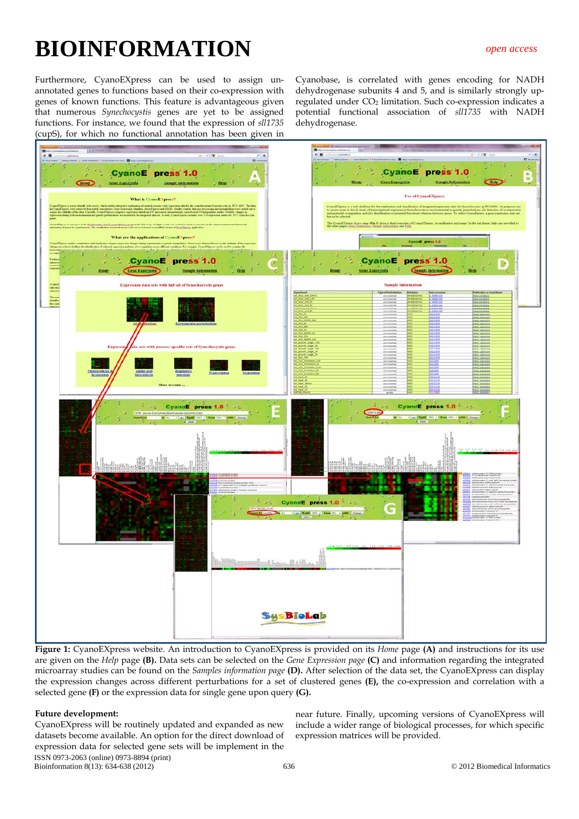Furthermore, CyanoEXpress can be used to assign unannotated genes to functions based on their co-expression with genes of known functions. This feature is advantageous given that numerous *Synechocystis* genes are yet to be assigned functions. For instance, we found that the expression of *sll1735* (cupS), for which no functional annotation has been given in

Cyanobase, is correlated with genes encoding for NADH dehydrogenase subunits 4 and 5, and is similarly strongly upregulated under CO<sub>2</sub> limitation. Such co-expression indicates a potential functional association of *sll1735* with NADH dehydrogenase.



**Figure 1:** CyanoEXpress website. An introduction to CyanoEXpress is provided on its *Home* page **(A)** and instructions for its use are given on the *Help* page **(B).** Data sets can be selected on the *Gene Expression page* **(C)** and information regarding the integrated microarray studies can be found on the *Samples information page* **(D).** After selection of the data set, the CyanoEXpress can display the expression changes across different perturbations for a set of clustered genes **(E),** the co-expression and correlation with a selected gene **(F)** or the expression data for single gene upon query **(G).** 

#### **Future development:**

ISSN 0973-2063 (online) 0973-8894 (print) Bioinformation 8(13): 634-638 (2012) 636 © 2012 Biomedical Informatics CyanoEXpress will be routinely updated and expanded as new datasets become available. An option for the direct download of expression data for selected gene sets will be implement in the

near future. Finally, upcoming versions of CyanoEXpress will include a wider range of biological processes, for which specific expression matrices will be provided.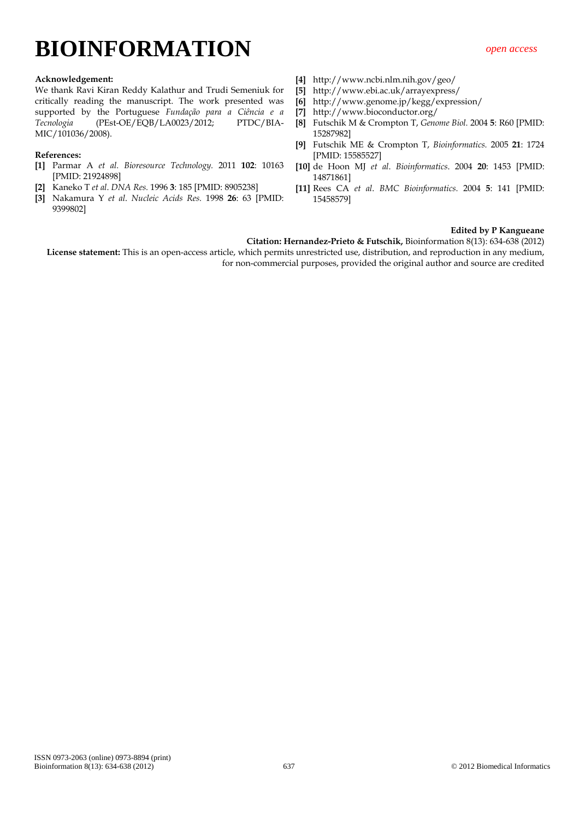#### **Acknowledgement:**

We thank Ravi Kiran Reddy Kalathur and Trudi Semeniuk for critically reading the manuscript. The work presented was supported by the Portuguese *Fundação para a Ciência e a Tecnologia* (PEst-OE/EQB/LA0023/2012; PTDC/BIA-MIC/101036/2008).

#### **References:**

- **[1]** Parmar A *et al. Bioresource Technology.* 2011 **102**: 10163 [PMID: 21924898]
- **[2]** Kaneko T *et al*. *DNA Res.* 1996 **3**: 185 [PMID: 8905238]
- **[3]** Nakamura Y *et al*. *Nucleic Acids Res.* 1998 **26**: 63 [PMID: 9399802]
- **[4]** http://www.ncbi.nlm.nih.gov/geo/
- **[5]** http://www.ebi.ac.uk/arrayexpress/
- **[6]** http://www.genome.jp/kegg/expression/
- **[7]** http://www.bioconductor.org/
- **[8]** Futschik M & Crompton T, *Genome Biol.* 2004 **5**: R60 [PMID: 15287982]
- **[9]** Futschik ME & Crompton T, *Bioinformatics.* 2005 **21**: 1724 [PMID: 15585527]
- **[10]** de Hoon MJ *et al*. *Bioinformatics*. 2004 **20**: 1453 [PMID: 14871861]
- **[11]** Rees CA *et al*. *BMC Bioinformatics.* 2004 **5**: 141 [PMID: 15458579]

#### **Edited by P Kangueane**

**Citation: Hernandez-Prieto & Futschik,** Bioinformation 8(13): 634-638 (2012)

**License statement:** This is an open-access article, which permits unrestricted use, distribution, and reproduction in any medium, for non-commercial purposes, provided the original author and source are credited